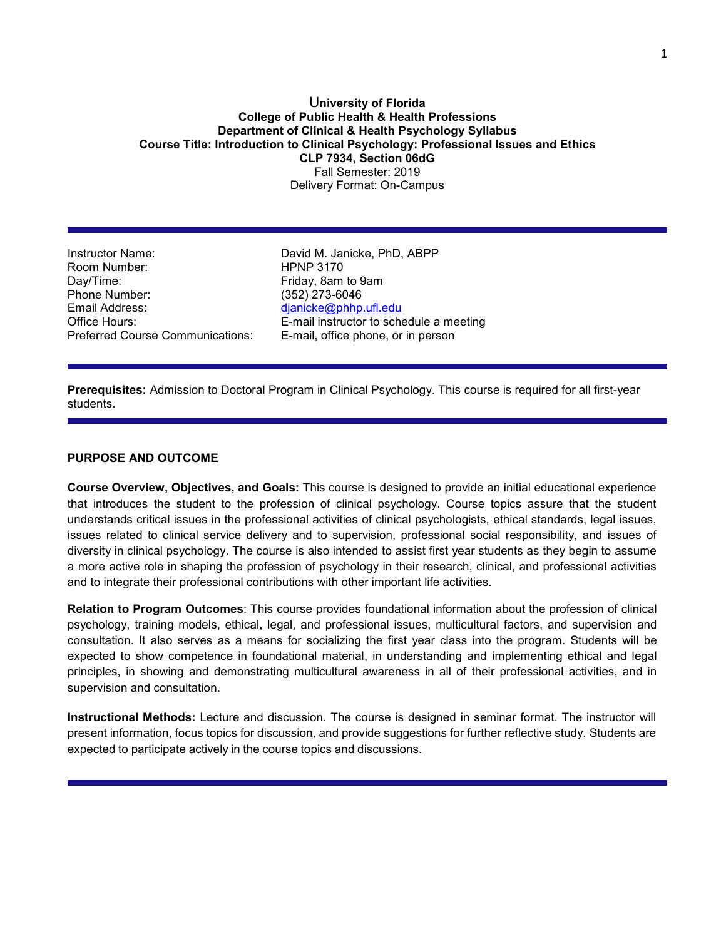## U**niversity of Florida College of Public Health & Health Professions Department of Clinical & Health Psychology Syllabus Course Title: Introduction to Clinical Psychology: Professional Issues and Ethics CLP 7934, Section 06dG** Fall Semester: 2019 Delivery Format: On-Campus

Instructor Name: David M. Janicke, PhD, ABPP Room Number: Day/Time: Case Controller and Triday, 8am to 9am Phone Number: (352) 273-6046<br>Email Address: (and a complete dianicke@phhp Preferred Course Communications: E-mail, office phone, or in person

[djanicke@phhp.ufl.edu](mailto:djanicke@phhp.ufl.edu) Office Hours: E-mail instructor to schedule a meeting

**Prerequisites:** Admission to Doctoral Program in Clinical Psychology. This course is required for all first-year students.

# **PURPOSE AND OUTCOME**

**Course Overview, Objectives, and Goals:** This course is designed to provide an initial educational experience that introduces the student to the profession of clinical psychology. Course topics assure that the student understands critical issues in the professional activities of clinical psychologists, ethical standards, legal issues, issues related to clinical service delivery and to supervision, professional social responsibility, and issues of diversity in clinical psychology. The course is also intended to assist first year students as they begin to assume a more active role in shaping the profession of psychology in their research, clinical, and professional activities and to integrate their professional contributions with other important life activities.

**Relation to Program Outcomes**: This course provides foundational information about the profession of clinical psychology, training models, ethical, legal, and professional issues, multicultural factors, and supervision and consultation. It also serves as a means for socializing the first year class into the program. Students will be expected to show competence in foundational material, in understanding and implementing ethical and legal principles, in showing and demonstrating multicultural awareness in all of their professional activities, and in supervision and consultation.

**Instructional Methods:** Lecture and discussion. The course is designed in seminar format. The instructor will present information, focus topics for discussion, and provide suggestions for further reflective study. Students are expected to participate actively in the course topics and discussions.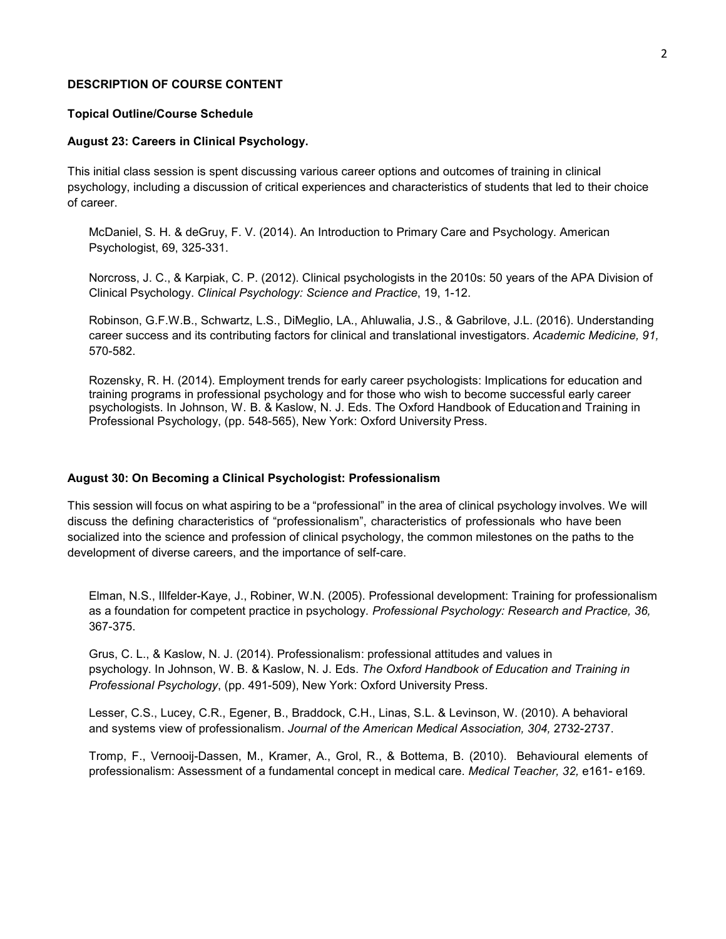### **DESCRIPTION OF COURSE CONTENT**

## **Topical Outline/Course Schedule**

#### **August 23: Careers in Clinical Psychology.**

This initial class session is spent discussing various career options and outcomes of training in clinical psychology, including a discussion of critical experiences and characteristics of students that led to their choice of career.

McDaniel, S. H. & deGruy, F. V. (2014). An Introduction to Primary Care and Psychology. American Psychologist, 69, 325-331.

Norcross, J. C., & Karpiak, C. P. (2012). Clinical psychologists in the 2010s: 50 years of the APA Division of Clinical Psychology. *Clinical Psychology: Science and Practice*, 19, 1-12.

Robinson, G.F.W.B., Schwartz, L.S., DiMeglio, LA., Ahluwalia, J.S., & Gabrilove, J.L. (2016). Understanding career success and its contributing factors for clinical and translational investigators. *Academic Medicine, 91,*  570-582.

Rozensky, R. H. (2014). Employment trends for early career psychologists: Implications for education and training programs in professional psychology and for those who wish to become successful early career psychologists. In Johnson, W. B. & Kaslow, N. J. Eds. The Oxford Handbook of Educationand Training in Professional Psychology, (pp. 548-565), New York: Oxford University Press.

#### **August 30: On Becoming a Clinical Psychologist: Professionalism**

This session will focus on what aspiring to be a "professional" in the area of clinical psychology involves. We will discuss the defining characteristics of "professionalism", characteristics of professionals who have been socialized into the science and profession of clinical psychology, the common milestones on the paths to the development of diverse careers, and the importance of self-care.

Elman, N.S., Illfelder-Kaye, J., Robiner, W.N. (2005). Professional development: Training for professionalism as a foundation for competent practice in psychology. *Professional Psychology: Research and Practice, 36,*  367-375.

Grus, C. L., & Kaslow, N. J. (2014). Professionalism: professional attitudes and values in psychology. In Johnson, W. B. & Kaslow, N. J. Eds. *The Oxford Handbook of Education and Training in Professional Psychology*, (pp. 491-509), New York: Oxford University Press.

Lesser, C.S., Lucey, C.R., Egener, B., Braddock, C.H., Linas, S.L. & Levinson, W. (2010). A behavioral and systems view of professionalism. *Journal of the American Medical Association, 304,* 2732-2737.

Tromp, F., Vernooij-Dassen, M., Kramer, A., Grol, R., & Bottema, B. (2010). Behavioural elements of professionalism: Assessment of a fundamental concept in medical care. *Medical Teacher, 32,* e161- e169.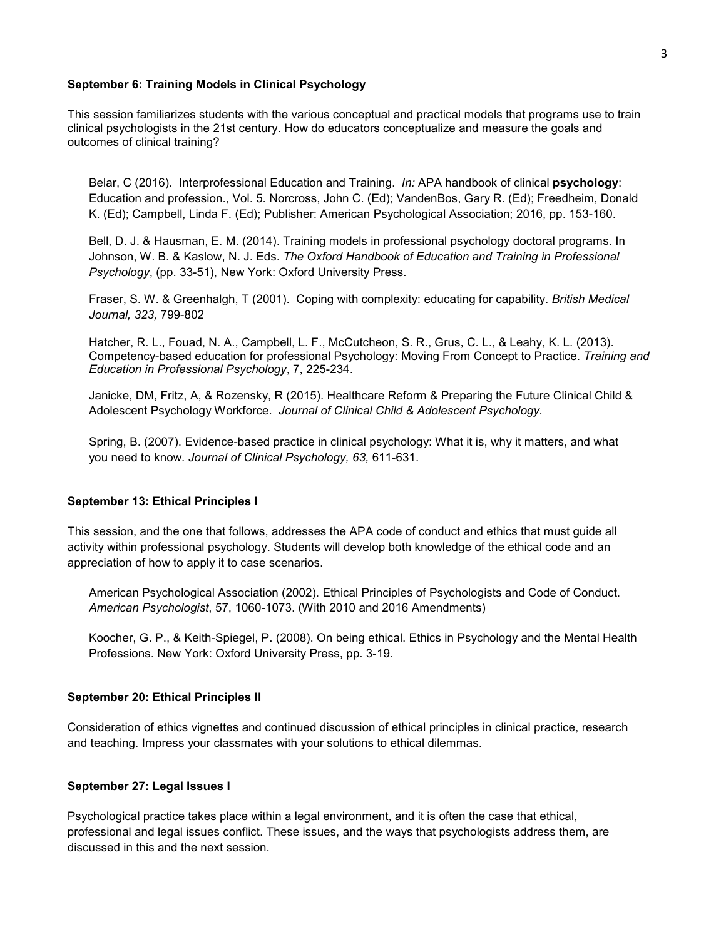## **September 6: Training Models in Clinical Psychology**

This session familiarizes students with the various conceptual and practical models that programs use to train clinical psychologists in the 21st century. How do educators conceptualize and measure the goals and outcomes of clinical training?

Belar, C (2016). Interprofessional Education and Training. *In:* APA handbook of clinical **psychology**: Education and profession., Vol. 5. Norcross, John C. (Ed); VandenBos, Gary R. (Ed); Freedheim, Donald K. (Ed); Campbell, Linda F. (Ed); Publisher: American Psychological Association; 2016, pp. 153-160.

Bell, D. J. & Hausman, E. M. (2014). Training models in professional psychology doctoral programs. In Johnson, W. B. & Kaslow, N. J. Eds. *The Oxford Handbook of Education and Training in Professional Psychology*, (pp. 33-51), New York: Oxford University Press.

Fraser, S. W. & Greenhalgh, T (2001). Coping with complexity: educating for capability. *British Medical Journal, 323,* 799-802

Hatcher, R. L., Fouad, N. A., Campbell, L. F., McCutcheon, S. R., Grus, C. L., & Leahy, K. L. (2013). Competency-based education for professional Psychology: Moving From Concept to Practice. *Training and Education in Professional Psychology*, 7, 225-234.

Janicke, DM, Fritz, A, & Rozensky, R (2015). Healthcare Reform & Preparing the Future Clinical Child & Adolescent Psychology Workforce. *Journal of Clinical Child & Adolescent Psychology.* 

Spring, B. (2007). Evidence-based practice in clinical psychology: What it is, why it matters, and what you need to know. *Journal of Clinical Psychology, 63,* 611-631.

### **September 13: Ethical Principles I**

This session, and the one that follows, addresses the APA code of conduct and ethics that must guide all activity within professional psychology. Students will develop both knowledge of the ethical code and an appreciation of how to apply it to case scenarios.

American Psychological Association (2002). Ethical Principles of Psychologists and Code of Conduct. *American Psychologist*, 57, 1060-1073. (With 2010 and 2016 Amendments)

Koocher, G. P., & Keith-Spiegel, P. (2008). On being ethical. Ethics in Psychology and the Mental Health Professions. New York: Oxford University Press, pp. 3-19.

## **September 20: Ethical Principles II**

Consideration of ethics vignettes and continued discussion of ethical principles in clinical practice, research and teaching. Impress your classmates with your solutions to ethical dilemmas.

#### **September 27: Legal Issues I**

Psychological practice takes place within a legal environment, and it is often the case that ethical, professional and legal issues conflict. These issues, and the ways that psychologists address them, are discussed in this and the next session.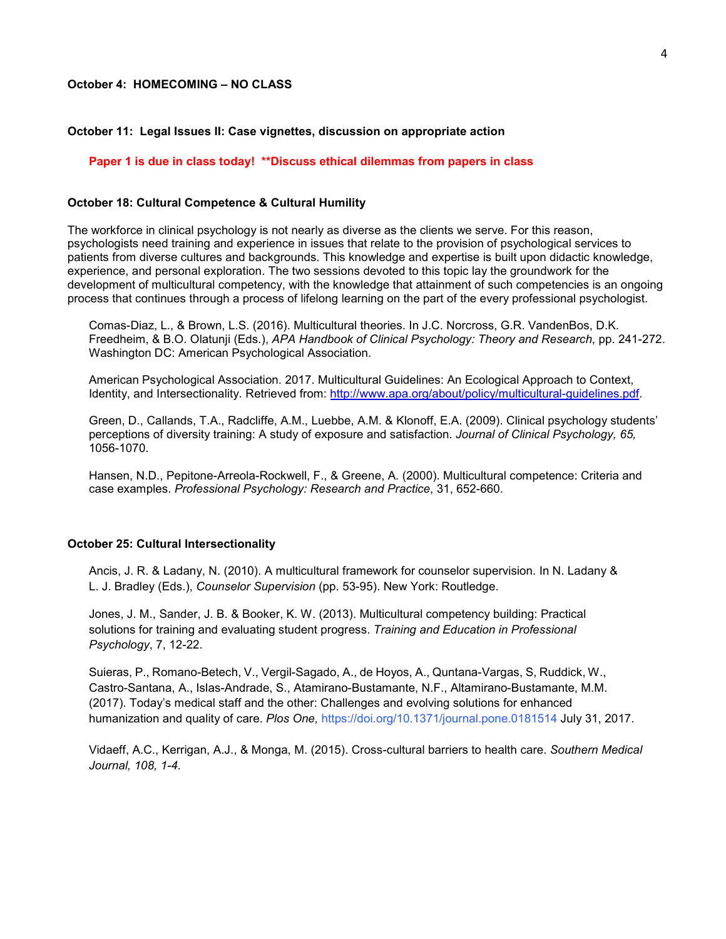## **October 11: Legal Issues II: Case vignettes, discussion on appropriate action**

## **Paper 1 is due in class today! \*\*Discuss ethical dilemmas from papers in class**

## **October 18: Cultural Competence & Cultural Humility**

The workforce in clinical psychology is not nearly as diverse as the clients we serve. For this reason, psychologists need training and experience in issues that relate to the provision of psychological services to patients from diverse cultures and backgrounds. This knowledge and expertise is built upon didactic knowledge, experience, and personal exploration. The two sessions devoted to this topic lay the groundwork for the development of multicultural competency, with the knowledge that attainment of such competencies is an ongoing process that continues through a process of lifelong learning on the part of the every professional psychologist.

Comas-Diaz, L., & Brown, L.S. (2016). Multicultural theories. In J.C. Norcross, G.R. VandenBos, D.K. Freedheim, & B.O. Olatunji (Eds.), *APA Handbook of Clinical Psychology: Theory and Research*, pp. 241-272. Washington DC: American Psychological Association.

American Psychological Association. 2017. Multicultural Guidelines: An Ecological Approach to Context, Identity, and Intersectionality. Retrieved from: [http://www.apa.org/about/policy/multicultural-guidelines.pdf.](http://www.apa.org/about/policy/multicultural-guidelines.pdf)

Green, D., Callands, T.A., Radcliffe, A.M., Luebbe, A.M. & Klonoff, E.A. (2009). Clinical psychology students' perceptions of diversity training: A study of exposure and satisfaction. *Journal of Clinical Psychology, 65,*  1056-1070.

Hansen, N.D., Pepitone-Arreola-Rockwell, F., & Greene, A. (2000). Multicultural competence: Criteria and case examples. *Professional Psychology: Research and Practice*, 31, 652-660.

#### **October 25: Cultural Intersectionality**

Ancis, J. R. & Ladany, N. (2010). A multicultural framework for counselor supervision. In N. Ladany & L. J. Bradley (Eds.), *Counselor Supervision* (pp. 53-95). New York: Routledge.

Jones, J. M., Sander, J. B. & Booker, K. W. (2013). Multicultural competency building: Practical solutions for training and evaluating student progress. *Training and Education in Professional Psychology*, 7, 12-22.

Suieras, P., Romano-Betech, V., Vergil-Sagado, A., de Hoyos, A., Quntana-Vargas, S, Ruddick, W., Castro-Santana, A., Islas-Andrade, S., Atamirano-Bustamante, N.F., Altamirano-Bustamante, M.M. (2017). Today's medical staff and the other: Challenges and evolving solutions for enhanced humanization and quality of care. *Plos One,* https://doi.org/10.1371/journal.pone.0181514 July 31, 2017.

Vidaeff, A.C., Kerrigan, A.J., & Monga, M. (2015). Cross-cultural barriers to health care. *Southern Medical Journal, 108, 1-4.*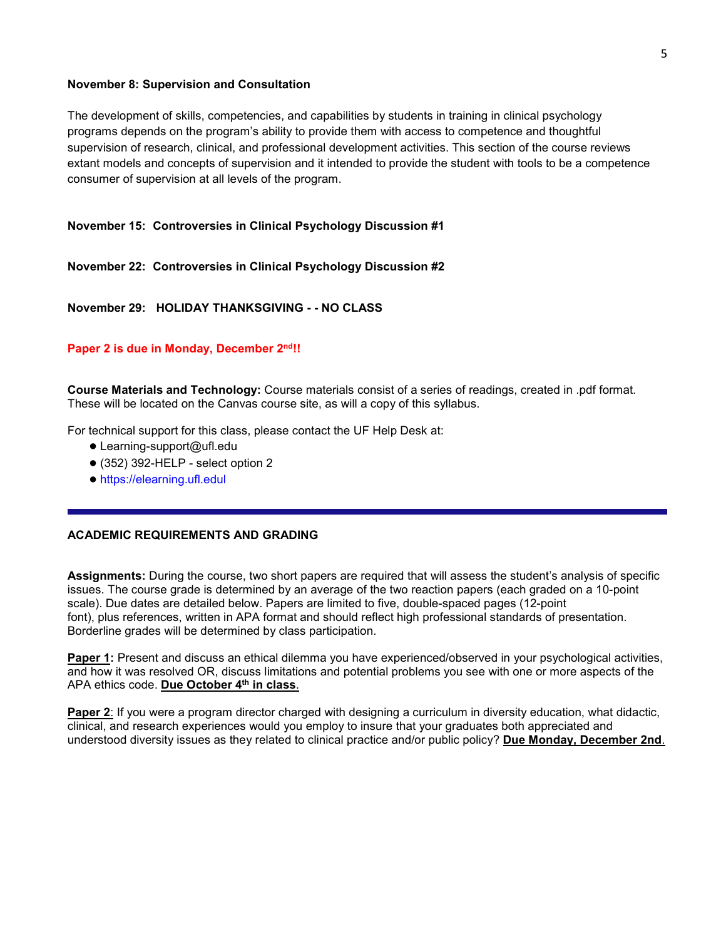# **November 8: Supervision and Consultation**

The development of skills, competencies, and capabilities by students in training in clinical psychology programs depends on the program's ability to provide them with access to competence and thoughtful supervision of research, clinical, and professional development activities. This section of the course reviews extant models and concepts of supervision and it intended to provide the student with tools to be a competence consumer of supervision at all levels of the program.

# **November 15: Controversies in Clinical Psychology Discussion #1**

# **November 22: Controversies in Clinical Psychology Discussion #2**

# **November 29: HOLIDAY THANKSGIVING - - NO CLASS**

# Paper 2 is due in Monday, December 2<sup>nd</sup>!!

**Course Materials and Technology:** Course materials consist of a series of readings, created in .pdf format. These will be located on the Canvas course site, as will a copy of this syllabus.

For technical support for this class, please contact the UF Help Desk at:

- Learning-support@ufl.edu
- $\bullet$  (352) 392-HELP select option 2
- https://elearning.ufl.edul

# **ACADEMIC REQUIREMENTS AND GRADING**

**Assignments:** During the course, two short papers are required that will assess the student's analysis of specific issues. The course grade is determined by an average of the two reaction papers (each graded on a 10-point scale). Due dates are detailed below. Papers are limited to five, double-spaced pages (12-point font), plus references, written in APA format and should reflect high professional standards of presentation. Borderline grades will be determined by class participation.

**Paper 1:** Present and discuss an ethical dilemma you have experienced/observed in your psychological activities, and how it was resolved OR, discuss limitations and potential problems you see with one or more aspects of the APA ethics code. **Due October 4th in class**.

**Paper 2**: If you were a program director charged with designing a curriculum in diversity education, what didactic, clinical, and research experiences would you employ to insure that your graduates both appreciated and understood diversity issues as they related to clinical practice and/or public policy? **Due Monday, December 2nd**.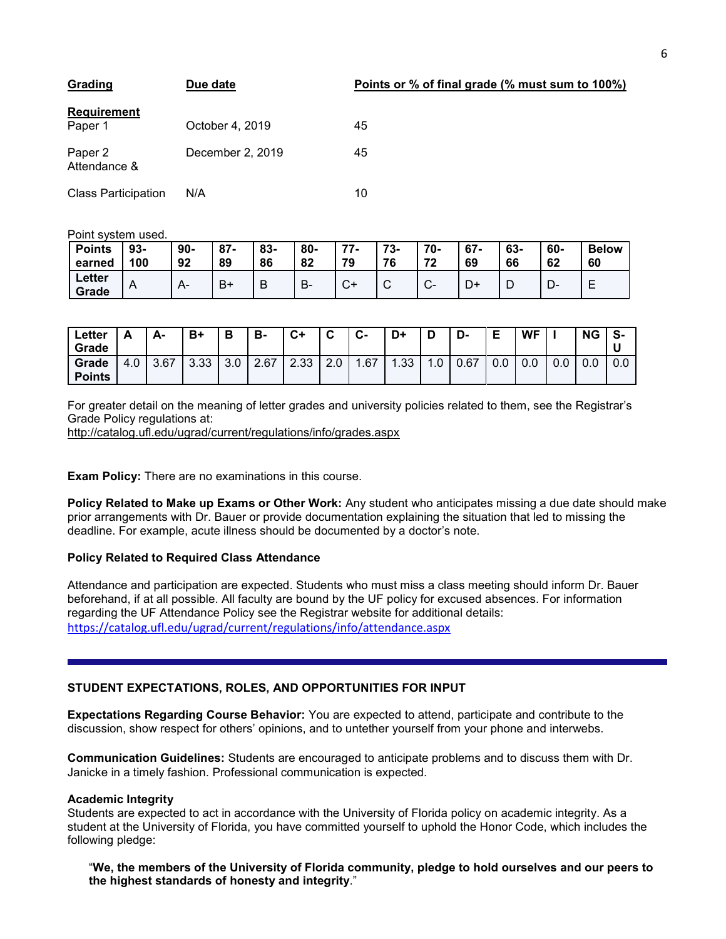| Grading                    | Due date         |    |
|----------------------------|------------------|----|
| Requirement<br>Paper 1     | October 4, 2019  | 45 |
| Paper 2<br>Attendance &    | December 2, 2019 | 45 |
| <b>Class Participation</b> | N/A              | 10 |

10

45

Point system used.

| <b>Points</b><br>earned | $93 -$<br>100 | 90-<br>92 | $87 -$<br>89 | 83-<br>86 | 80-<br>82 | 77<br>79         | 73-<br>76 | $70 -$<br>72<br>◢ | $67 -$<br>69 | 63-<br>66 | 60-<br>62 | <b>Below</b><br>60 |
|-------------------------|---------------|-----------|--------------|-----------|-----------|------------------|-----------|-------------------|--------------|-----------|-----------|--------------------|
| Letter<br>Grade         | A             |           | B+           | D<br>D    | D<br>D٠   | $\sim$<br>$\sim$ | ັ         | $\sim$<br>UT.     | ◡            | D         | −<br>-ש   | -                  |

| Letter<br>Grade        | Δ<br><u>r</u>                       | А-   | B+   | D<br>D | B-   | $C+$ | ◠<br>v | $\sim$<br>ს- | D+   | D                 | D-   | Е   | <b>WF</b> |     | <b>NG</b> | s-  |
|------------------------|-------------------------------------|------|------|--------|------|------|--------|--------------|------|-------------------|------|-----|-----------|-----|-----------|-----|
| Grade<br><b>Points</b> | $\sqrt{ }$<br>$\overline{a}$<br>t.U | 3.67 | 3.33 | 3.0    | 2.67 | 2.33 | 2.0    | .67          | 1.33 | $\cdot$ . $\cdot$ | 0.67 | v.v | 0.0       | 0.0 | 0.0       | 0.0 |

For greater detail on the meaning of letter grades and university policies related to them, see the Registrar's Grade Policy regulations at:

<http://catalog.ufl.edu/ugrad/current/regulations/info/grades.aspx>

**Exam Policy:** There are no examinations in this course.

**Policy Related to Make up Exams or Other Work:** Any student who anticipates missing a due date should make prior arrangements with Dr. Bauer or provide documentation explaining the situation that led to missing the deadline. For example, acute illness should be documented by a doctor's note.

# **Policy Related to Required Class Attendance**

Attendance and participation are expected. Students who must miss a class meeting should inform Dr. Bauer beforehand, if at all possible. All faculty are bound by the UF policy for excused absences. For information regarding the UF Attendance Policy see the Registrar website for additional details: <https://catalog.ufl.edu/ugrad/current/regulations/info/attendance.aspx>

# **STUDENT EXPECTATIONS, ROLES, AND OPPORTUNITIES FOR INPUT**

**Expectations Regarding Course Behavior:** You are expected to attend, participate and contribute to the discussion, show respect for others' opinions, and to untether yourself from your phone and interwebs.

**Communication Guidelines:** Students are encouraged to anticipate problems and to discuss them with Dr. Janicke in a timely fashion. Professional communication is expected.

#### **Academic Integrity**

Students are expected to act in accordance with the University of Florida policy on academic integrity. As a student at the University of Florida, you have committed yourself to uphold the Honor Code, which includes the following pledge:

"**We, the members of the University of Florida community, pledge to hold ourselves and our peers to the highest standards of honesty and integrity**."

# **Points or % of final grade (% must sum to 100%)**